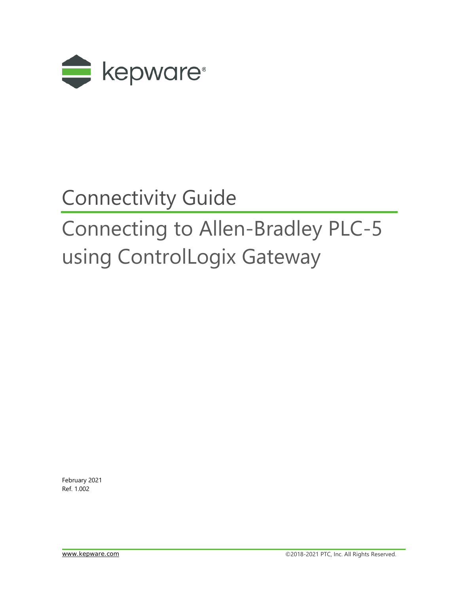

## Connectivity Guide

# Connecting to Allen-Bradley PLC-5 using ControlLogix Gateway

February 2021 Ref. 1.002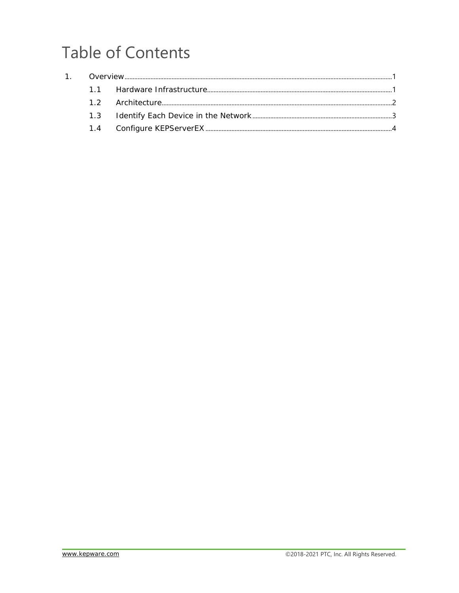### **Table of Contents**

| 1. |  |
|----|--|
|    |  |
|    |  |
|    |  |
|    |  |
|    |  |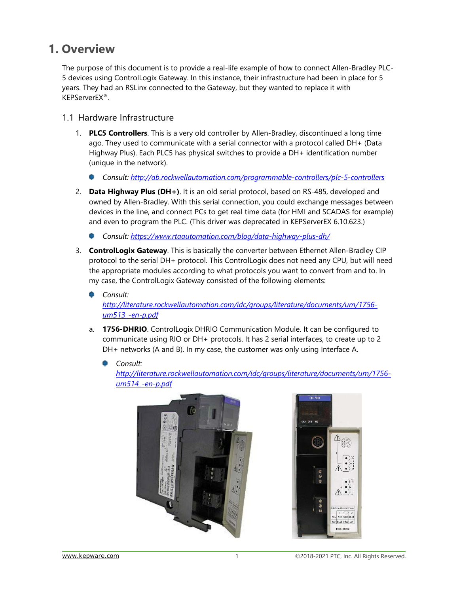### <span id="page-2-0"></span>**1. Overview**

The purpose of this document is to provide a real-life example of how to connect Allen-Bradley PLC-5 devices using ControlLogix Gateway. In this instance, their infrastructure had been in place for 5 years. They had an RSLinx connected to the Gateway, but they wanted to replace it with KEPServerEX®.

#### <span id="page-2-1"></span>1.1 Hardware Infrastructure

- 1. **PLC5 Controllers**. This is a very old controller by Allen-Bradley, discontinued a long time ago. They used to communicate with a serial connector with a protocol called DH+ (Data Highway Plus). Each PLC5 has physical switches to provide a DH+ identification number (unique in the network).
	- *Consult:<http://ab.rockwellautomation.com/programmable-controllers/plc-5-controllers>*
- 2. **Data Highway Plus (DH+)**. It is an old serial protocol, based on RS-485, developed and owned by Allen-Bradley. With this serial connection, you could exchange messages between devices in the line, and connect PCs to get real time data (for HMI and SCADAS for example) and even to program the PLC. (This driver was deprecated in KEPServerEX 6.10.623.)
	- *Consult:<https://www.rtaautomation.com/blog/data-highway-plus-dh/>*
- 3. **ControlLogix Gateway**. This is basically the converter between Ethernet Allen-Bradley CIP protocol to the serial DH+ protocol. This ControlLogix does not need any CPU, but will need the appropriate modules according to what protocols you want to convert from and to. In my case, the ControlLogix Gateway consisted of the following elements:
	- *Consult: [http://literature.rockwellautomation.com/idc/groups/literature/documents/um/1756](http://literature.rockwellautomation.com/idc/groups/literature/documents/um/1756-um513_-en-p.pdf) [um513\\_-en-p.pdf](http://literature.rockwellautomation.com/idc/groups/literature/documents/um/1756-um513_-en-p.pdf)*
	- a. **1756-DHRIO**. ControlLogix DHRIO Communication Module. It can be configured to communicate using RIO or DH+ protocols. It has 2 serial interfaces, to create up to 2 DH+ networks (A and B). In my case, the customer was only using Interface A.
		- *Consult:*

*[http://literature.rockwellautomation.com/idc/groups/literature/documents/um/1756](http://literature.rockwellautomation.com/idc/groups/literature/documents/um/1756-um514_-en-p.pdf) [um514\\_-en-p.pdf](http://literature.rockwellautomation.com/idc/groups/literature/documents/um/1756-um514_-en-p.pdf)*



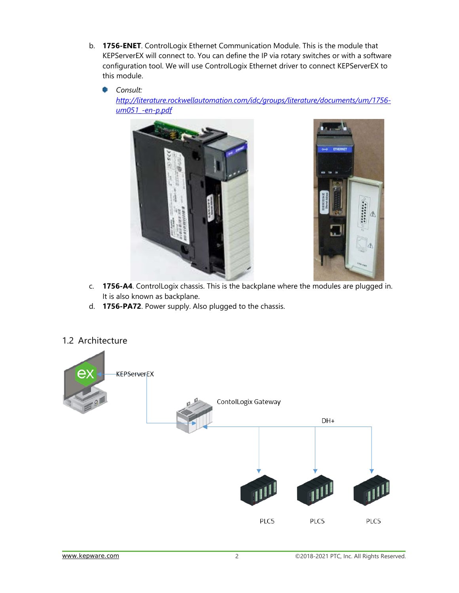b. **1756-ENET**. ControlLogix Ethernet Communication Module. This is the module that KEPServerEX will connect to. You can define the IP via rotary switches or with a software configuration tool. We will use ControlLogix Ethernet driver to connect KEPServerEX to this module.

*Consult: [http://literature.rockwellautomation.com/idc/groups/literature/documents/um/1756](http://literature.rockwellautomation.com/idc/groups/literature/documents/um/1756-um051_-en-p.pdf) [um051\\_-en-p.pdf](http://literature.rockwellautomation.com/idc/groups/literature/documents/um/1756-um051_-en-p.pdf)*





- c. **1756-A4**. ControlLogix chassis. This is the backplane where the modules are plugged in. It is also known as backplane.
- d. **1756-PA72**. Power supply. Also plugged to the chassis.



#### <span id="page-3-0"></span>1.2 Architecture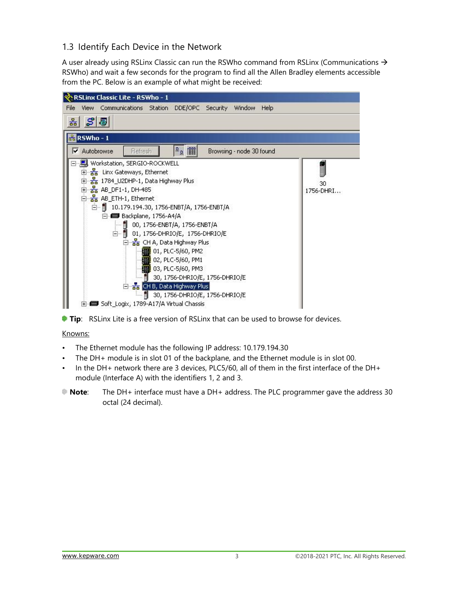#### <span id="page-4-0"></span>1.3 Identify Each Device in the Network

A user already using RSLinx Classic can run the RSWho command from RSLinx (Communications  $\rightarrow$ RSWho) and wait a few seconds for the program to find all the Allen Bradley elements accessible from the PC. Below is an example of what might be received:





#### Knowns:

- The Ethernet module has the following IP address: 10.179.194.30
- The DH+ module is in slot 01 of the backplane, and the Ethernet module is in slot 00.
- In the DH+ network there are 3 devices, PLC5/60, all of them in the first interface of the DH+ module (Interface A) with the identifiers 1, 2 and 3.
- **Note**: The DH+ interface must have a DH+ address. The PLC programmer gave the address 30 octal (24 decimal).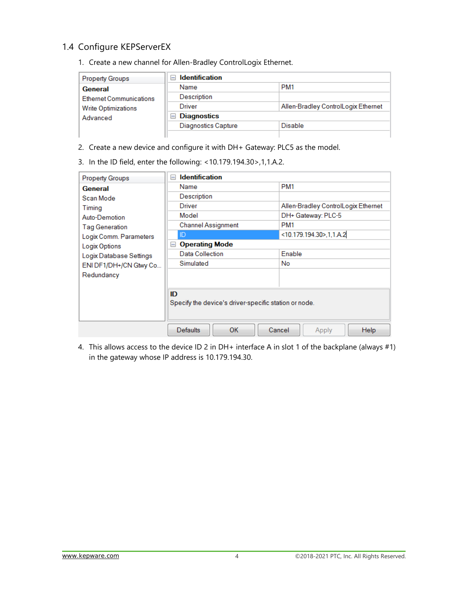#### <span id="page-5-0"></span>1.4 Configure KEPServerEX

1. Create a new channel for Allen-Bradley ControlLogix Ethernet.

| <b>Property Groups</b>         | <b>Identification</b><br>$\overline{}$ |                                     |  |
|--------------------------------|----------------------------------------|-------------------------------------|--|
| General                        | Name                                   | PM <sub>1</sub>                     |  |
| <b>Ethernet Communications</b> | Description                            |                                     |  |
| <b>Write Optimizations</b>     | Driver                                 | Allen-Bradley ControlLogix Ethernet |  |
| Advanced                       | <b>Diagnostics</b><br>$\equiv$         |                                     |  |
|                                | <b>Diagnostics Capture</b>             | Disable                             |  |
|                                |                                        |                                     |  |

- 2. Create a new device and configure it with DH+ Gateway: PLC5 as the model.
- 3. In the ID field, enter the following: <10.179.194.30>,1,1.A.2.

| <b>Property Groups</b>  | <b>Identification</b><br>E                                  |                                     |  |
|-------------------------|-------------------------------------------------------------|-------------------------------------|--|
| General                 | Name                                                        | PM <sub>1</sub>                     |  |
| Scan Mode               | Description                                                 |                                     |  |
| Timing                  | Driver                                                      | Allen-Bradley ControlLogix Ethernet |  |
| Auto-Demotion           | Model                                                       | DH+ Gateway: PLC-5                  |  |
| <b>Tag Generation</b>   | <b>Channel Assignment</b>                                   | PM <sub>1</sub>                     |  |
| Logix Comm. Parameters  | ID                                                          | <10.179.194.30>,1,1.A.2             |  |
| Logix Options           | <b>Operating Mode</b><br>E                                  |                                     |  |
| Logix Database Settings | Data Collection                                             | Enable                              |  |
| ENI DF1/DH+/CN Gtwy Co  | Simulated                                                   | <b>No</b>                           |  |
| Redundancy              |                                                             |                                     |  |
|                         |                                                             |                                     |  |
|                         | ID<br>Specify the device's driver-specific station or node. |                                     |  |
|                         | <b>OK</b><br><b>Defaults</b>                                | Cancel<br><b>Help</b><br>Apply      |  |

4. This allows access to the device ID 2 in DH+ interface A in slot 1 of the backplane (always #1) in the gateway whose IP address is 10.179.194.30.